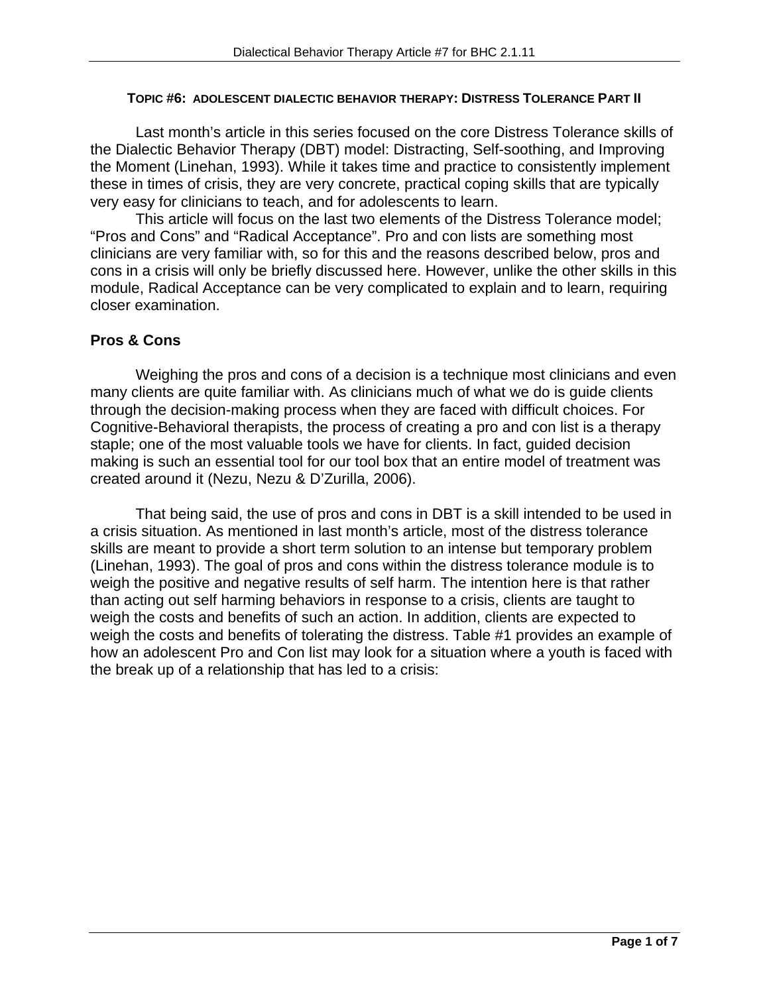#### **TOPIC #6: ADOLESCENT DIALECTIC BEHAVIOR THERAPY: DISTRESS TOLERANCE PART II**

Last month's article in this series focused on the core Distress Tolerance skills of the Dialectic Behavior Therapy (DBT) model: Distracting, Self-soothing, and Improving the Moment (Linehan, 1993). While it takes time and practice to consistently implement these in times of crisis, they are very concrete, practical coping skills that are typically very easy for clinicians to teach, and for adolescents to learn.

This article will focus on the last two elements of the Distress Tolerance model; "Pros and Cons" and "Radical Acceptance". Pro and con lists are something most clinicians are very familiar with, so for this and the reasons described below, pros and cons in a crisis will only be briefly discussed here. However, unlike the other skills in this module, Radical Acceptance can be very complicated to explain and to learn, requiring closer examination.

#### **Pros & Cons**

Weighing the pros and cons of a decision is a technique most clinicians and even many clients are quite familiar with. As clinicians much of what we do is guide clients through the decision-making process when they are faced with difficult choices. For Cognitive-Behavioral therapists, the process of creating a pro and con list is a therapy staple; one of the most valuable tools we have for clients. In fact, guided decision making is such an essential tool for our tool box that an entire model of treatment was created around it (Nezu, Nezu & D'Zurilla, 2006).

That being said, the use of pros and cons in DBT is a skill intended to be used in a crisis situation. As mentioned in last month's article, most of the distress tolerance skills are meant to provide a short term solution to an intense but temporary problem (Linehan, 1993). The goal of pros and cons within the distress tolerance module is to weigh the positive and negative results of self harm. The intention here is that rather than acting out self harming behaviors in response to a crisis, clients are taught to weigh the costs and benefits of such an action. In addition, clients are expected to weigh the costs and benefits of tolerating the distress. Table #1 provides an example of how an adolescent Pro and Con list may look for a situation where a youth is faced with the break up of a relationship that has led to a crisis: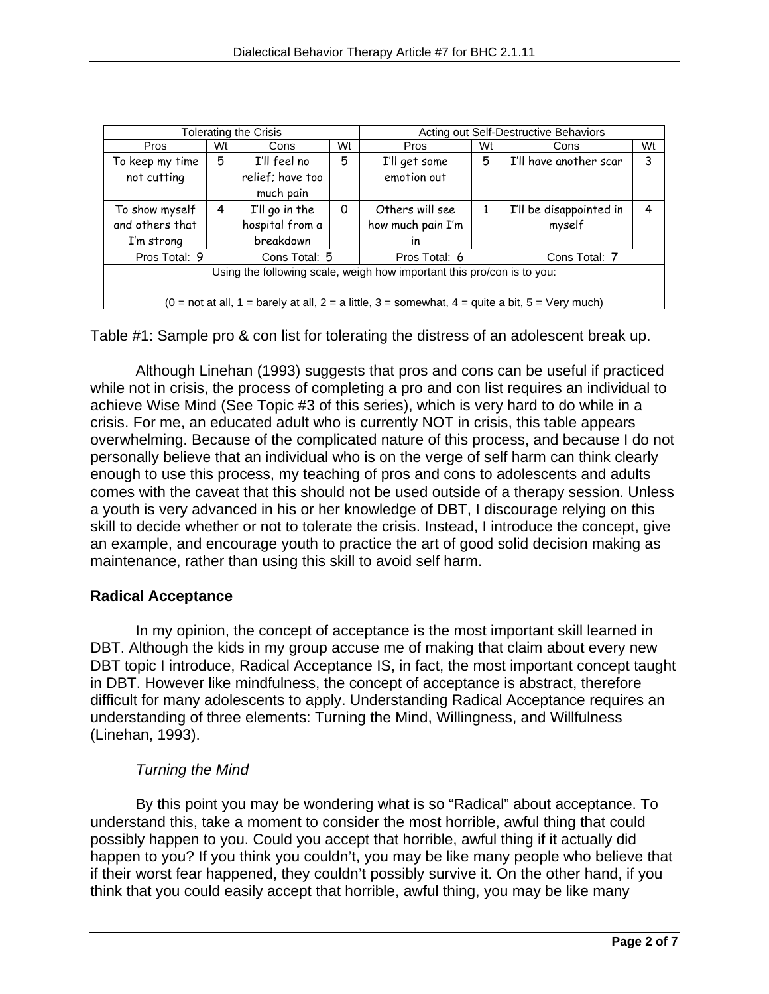| <b>Tolerating the Crisis</b>                                                                                                                |    |                  |    | Acting out Self-Destructive Behaviors |    |                         |    |  |
|---------------------------------------------------------------------------------------------------------------------------------------------|----|------------------|----|---------------------------------------|----|-------------------------|----|--|
| Pros                                                                                                                                        | Wt | Cons             | Wt | <b>Pros</b>                           | Wt | Cons                    | Wt |  |
| To keep my time                                                                                                                             | 5  | I'll feel no     | 5  | I'll get some                         | 5  | I'll have another scar  | 3  |  |
| not cutting                                                                                                                                 |    | relief; have too |    | emotion out                           |    |                         |    |  |
|                                                                                                                                             |    | much pain        |    |                                       |    |                         |    |  |
| To show myself                                                                                                                              | 4  | I'll go in the   | 0  | Others will see                       | 1  | I'll be disappointed in | 4  |  |
| and others that                                                                                                                             |    | hospital from a  |    | how much pain I'm                     |    | myself                  |    |  |
| I'm strong                                                                                                                                  |    | breakdown        |    | in                                    |    |                         |    |  |
| Pros Total: 9                                                                                                                               |    | Cons Total: 5    |    | Pros Total: 6                         |    | Cons Total: 7           |    |  |
| Using the following scale, weigh how important this pro/con is to you:                                                                      |    |                  |    |                                       |    |                         |    |  |
|                                                                                                                                             |    |                  |    |                                       |    |                         |    |  |
| $(0 = \text{not at all}, 1 = \text{barely at all}, 2 = \text{a little}, 3 = \text{somewhat}, 4 = \text{quite a bit}, 5 = \text{Very much})$ |    |                  |    |                                       |    |                         |    |  |

Table #1: Sample pro & con list for tolerating the distress of an adolescent break up.

 Although Linehan (1993) suggests that pros and cons can be useful if practiced while not in crisis, the process of completing a pro and con list requires an individual to achieve Wise Mind (See Topic #3 of this series), which is very hard to do while in a crisis. For me, an educated adult who is currently NOT in crisis, this table appears overwhelming. Because of the complicated nature of this process, and because I do not personally believe that an individual who is on the verge of self harm can think clearly enough to use this process, my teaching of pros and cons to adolescents and adults comes with the caveat that this should not be used outside of a therapy session. Unless a youth is very advanced in his or her knowledge of DBT, I discourage relying on this skill to decide whether or not to tolerate the crisis. Instead, I introduce the concept, give an example, and encourage youth to practice the art of good solid decision making as maintenance, rather than using this skill to avoid self harm.

# **Radical Acceptance**

 In my opinion, the concept of acceptance is the most important skill learned in DBT. Although the kids in my group accuse me of making that claim about every new DBT topic I introduce, Radical Acceptance IS, in fact, the most important concept taught in DBT. However like mindfulness, the concept of acceptance is abstract, therefore difficult for many adolescents to apply. Understanding Radical Acceptance requires an understanding of three elements: Turning the Mind, Willingness, and Willfulness (Linehan, 1993).

# *Turning the Mind*

By this point you may be wondering what is so "Radical" about acceptance. To understand this, take a moment to consider the most horrible, awful thing that could possibly happen to you. Could you accept that horrible, awful thing if it actually did happen to you? If you think you couldn't, you may be like many people who believe that if their worst fear happened, they couldn't possibly survive it. On the other hand, if you think that you could easily accept that horrible, awful thing, you may be like many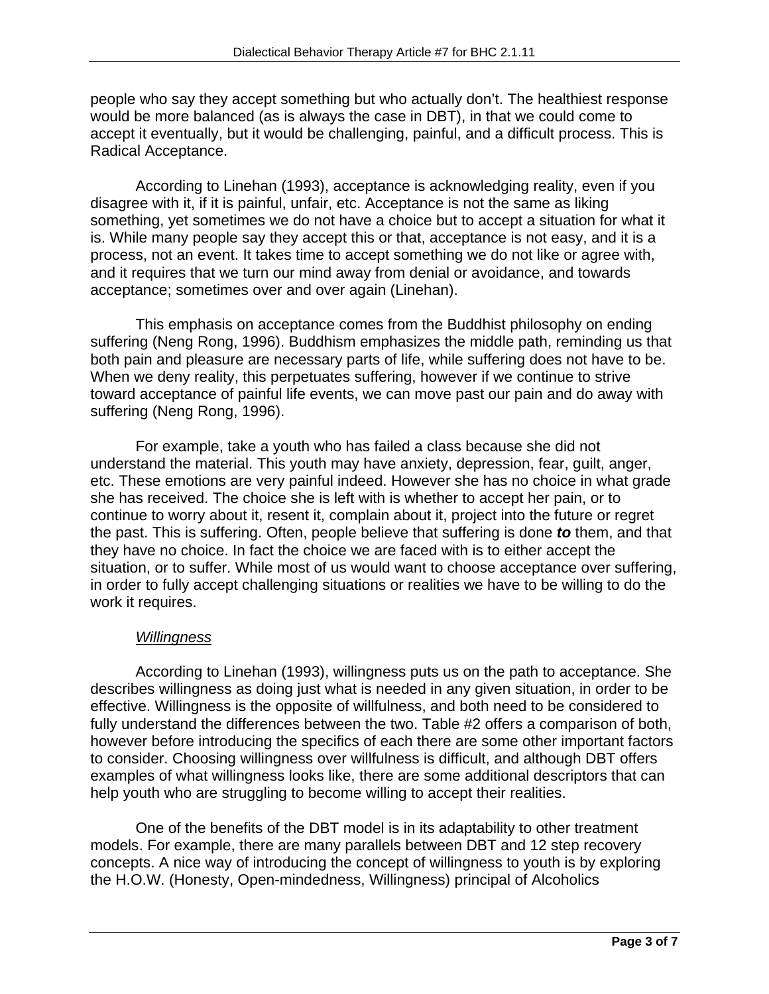people who say they accept something but who actually don't. The healthiest response would be more balanced (as is always the case in DBT), in that we could come to accept it eventually, but it would be challenging, painful, and a difficult process. This is Radical Acceptance.

According to Linehan (1993), acceptance is acknowledging reality, even if you disagree with it, if it is painful, unfair, etc. Acceptance is not the same as liking something, yet sometimes we do not have a choice but to accept a situation for what it is. While many people say they accept this or that, acceptance is not easy, and it is a process, not an event. It takes time to accept something we do not like or agree with, and it requires that we turn our mind away from denial or avoidance, and towards acceptance; sometimes over and over again (Linehan).

This emphasis on acceptance comes from the Buddhist philosophy on ending suffering (Neng Rong, 1996). Buddhism emphasizes the middle path, reminding us that both pain and pleasure are necessary parts of life, while suffering does not have to be. When we deny reality, this perpetuates suffering, however if we continue to strive toward acceptance of painful life events, we can move past our pain and do away with suffering (Neng Rong, 1996).

For example, take a youth who has failed a class because she did not understand the material. This youth may have anxiety, depression, fear, guilt, anger, etc. These emotions are very painful indeed. However she has no choice in what grade she has received. The choice she is left with is whether to accept her pain, or to continue to worry about it, resent it, complain about it, project into the future or regret the past. This is suffering. Often, people believe that suffering is done *to* them, and that they have no choice. In fact the choice we are faced with is to either accept the situation, or to suffer. While most of us would want to choose acceptance over suffering, in order to fully accept challenging situations or realities we have to be willing to do the work it requires.

# *Willingness*

According to Linehan (1993), willingness puts us on the path to acceptance. She describes willingness as doing just what is needed in any given situation, in order to be effective. Willingness is the opposite of willfulness, and both need to be considered to fully understand the differences between the two. Table #2 offers a comparison of both, however before introducing the specifics of each there are some other important factors to consider. Choosing willingness over willfulness is difficult, and although DBT offers examples of what willingness looks like, there are some additional descriptors that can help youth who are struggling to become willing to accept their realities.

One of the benefits of the DBT model is in its adaptability to other treatment models. For example, there are many parallels between DBT and 12 step recovery concepts. A nice way of introducing the concept of willingness to youth is by exploring the H.O.W. (Honesty, Open-mindedness, Willingness) principal of Alcoholics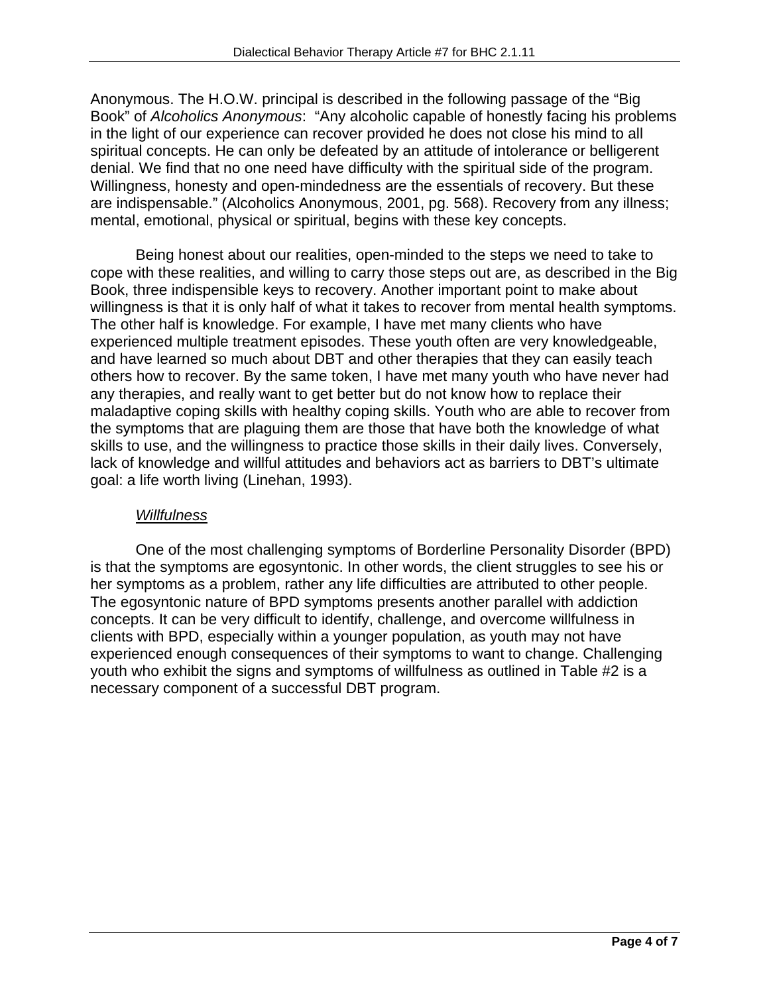Anonymous. The H.O.W. principal is described in the following passage of the "Big Book" of *Alcoholics Anonymous*: "Any alcoholic capable of honestly facing his problems in the light of our experience can recover provided he does not close his mind to all spiritual concepts. He can only be defeated by an attitude of intolerance or belligerent denial. We find that no one need have difficulty with the spiritual side of the program. Willingness, honesty and open-mindedness are the essentials of recovery. But these are indispensable." (Alcoholics Anonymous, 2001, pg. 568). Recovery from any illness; mental, emotional, physical or spiritual, begins with these key concepts.

Being honest about our realities, open-minded to the steps we need to take to cope with these realities, and willing to carry those steps out are, as described in the Big Book, three indispensible keys to recovery. Another important point to make about willingness is that it is only half of what it takes to recover from mental health symptoms. The other half is knowledge. For example, I have met many clients who have experienced multiple treatment episodes. These youth often are very knowledgeable, and have learned so much about DBT and other therapies that they can easily teach others how to recover. By the same token, I have met many youth who have never had any therapies, and really want to get better but do not know how to replace their maladaptive coping skills with healthy coping skills. Youth who are able to recover from the symptoms that are plaguing them are those that have both the knowledge of what skills to use, and the willingness to practice those skills in their daily lives. Conversely, lack of knowledge and willful attitudes and behaviors act as barriers to DBT's ultimate goal: a life worth living (Linehan, 1993).

#### *Willfulness*

One of the most challenging symptoms of Borderline Personality Disorder (BPD) is that the symptoms are egosyntonic. In other words, the client struggles to see his or her symptoms as a problem, rather any life difficulties are attributed to other people. The egosyntonic nature of BPD symptoms presents another parallel with addiction concepts. It can be very difficult to identify, challenge, and overcome willfulness in clients with BPD, especially within a younger population, as youth may not have experienced enough consequences of their symptoms to want to change. Challenging youth who exhibit the signs and symptoms of willfulness as outlined in Table #2 is a necessary component of a successful DBT program.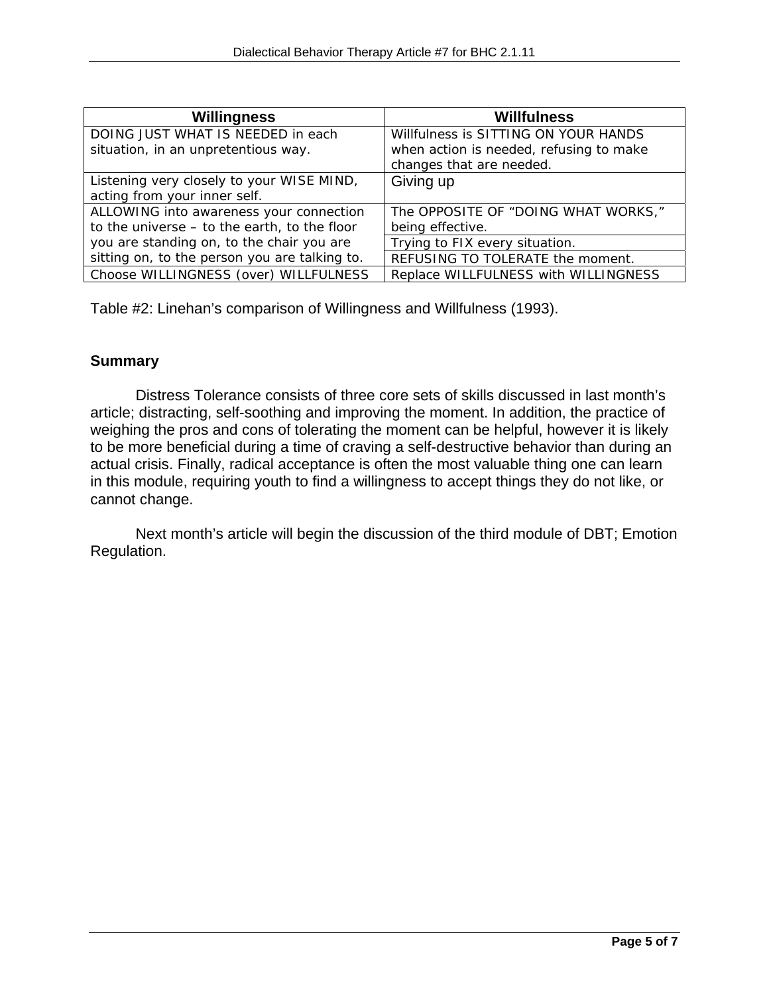| Willingness                                    | Willfulness                             |  |  |
|------------------------------------------------|-----------------------------------------|--|--|
| DOING JUST WHAT IS NEEDED in each              | Willfulness is SITTING ON YOUR HANDS    |  |  |
| situation, in an unpretentious way.            | when action is needed, refusing to make |  |  |
|                                                | changes that are needed.                |  |  |
| Listening very closely to your WISE MIND,      | Giving up                               |  |  |
| acting from your inner self.                   |                                         |  |  |
| ALLOWING into awareness your connection        | The OPPOSITE OF "DOING WHAT WORKS,"     |  |  |
| to the universe $-$ to the earth, to the floor | being effective.                        |  |  |
| you are standing on, to the chair you are      | Trying to FIX every situation.          |  |  |
| sitting on, to the person you are talking to.  | REFUSING TO TOLERATE the moment.        |  |  |
| Choose WILLINGNESS (over) WILLFULNESS          | Replace WILLFULNESS with WILLINGNESS    |  |  |

Table #2: Linehan's comparison of Willingness and Willfulness (1993).

#### **Summary**

Distress Tolerance consists of three core sets of skills discussed in last month's article; distracting, self-soothing and improving the moment. In addition, the practice of weighing the pros and cons of tolerating the moment can be helpful, however it is likely to be more beneficial during a time of craving a self-destructive behavior than during an actual crisis. Finally, radical acceptance is often the most valuable thing one can learn in this module, requiring youth to find a willingness to accept things they do not like, or cannot change.

Next month's article will begin the discussion of the third module of DBT; Emotion Regulation.